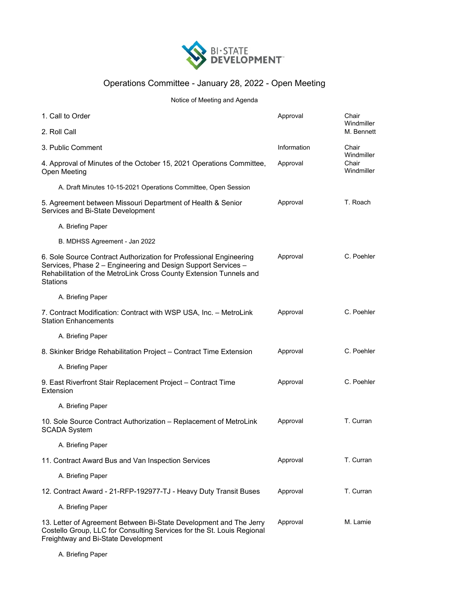

## Operations Committee - January 28, 2022 - Open Meeting

Notice of Meeting and Agenda

| 1. Call to Order                                                                                                                                                                                                             | Approval    | Chair<br>Windmiller                        |
|------------------------------------------------------------------------------------------------------------------------------------------------------------------------------------------------------------------------------|-------------|--------------------------------------------|
| 2. Roll Call                                                                                                                                                                                                                 |             | M. Bennett                                 |
| 3. Public Comment                                                                                                                                                                                                            | Information | Chair<br>Windmiller<br>Chair<br>Windmiller |
| 4. Approval of Minutes of the October 15, 2021 Operations Committee,<br>Open Meeting                                                                                                                                         | Approval    |                                            |
| A. Draft Minutes 10-15-2021 Operations Committee, Open Session                                                                                                                                                               |             |                                            |
| 5. Agreement between Missouri Department of Health & Senior<br>Services and Bi-State Development                                                                                                                             | Approval    | T. Roach                                   |
| A. Briefing Paper                                                                                                                                                                                                            |             |                                            |
| B. MDHSS Agreement - Jan 2022                                                                                                                                                                                                |             |                                            |
| 6. Sole Source Contract Authorization for Professional Engineering<br>Services, Phase 2 - Engineering and Design Support Services -<br>Rehabilitation of the MetroLink Cross County Extension Tunnels and<br><b>Stations</b> | Approval    | C. Poehler                                 |
| A. Briefing Paper                                                                                                                                                                                                            |             |                                            |
| 7. Contract Modification: Contract with WSP USA, Inc. - MetroLink<br><b>Station Enhancements</b>                                                                                                                             | Approval    | C. Poehler                                 |
| A. Briefing Paper                                                                                                                                                                                                            |             |                                            |
| 8. Skinker Bridge Rehabilitation Project – Contract Time Extension                                                                                                                                                           | Approval    | C. Poehler                                 |
| A. Briefing Paper                                                                                                                                                                                                            |             |                                            |
| 9. East Riverfront Stair Replacement Project - Contract Time<br>Extension                                                                                                                                                    | Approval    | C. Poehler                                 |
| A. Briefing Paper                                                                                                                                                                                                            |             |                                            |
| 10. Sole Source Contract Authorization - Replacement of MetroLink<br><b>SCADA System</b>                                                                                                                                     | Approval    | T. Curran                                  |
| A. Briefing Paper                                                                                                                                                                                                            |             |                                            |
| 11. Contract Award Bus and Van Inspection Services                                                                                                                                                                           | Approval    | T. Curran                                  |
| A. Briefing Paper                                                                                                                                                                                                            |             |                                            |
| 12. Contract Award - 21-RFP-192977-TJ - Heavy Duty Transit Buses                                                                                                                                                             | Approval    | T. Curran                                  |
| A. Briefing Paper                                                                                                                                                                                                            |             |                                            |
| 13. Letter of Agreement Between Bi-State Development and The Jerry<br>Costello Group, LLC for Consulting Services for the St. Louis Regional<br>Freightway and Bi-State Development                                          | Approval    | M. Lamie                                   |

A. Briefing Paper